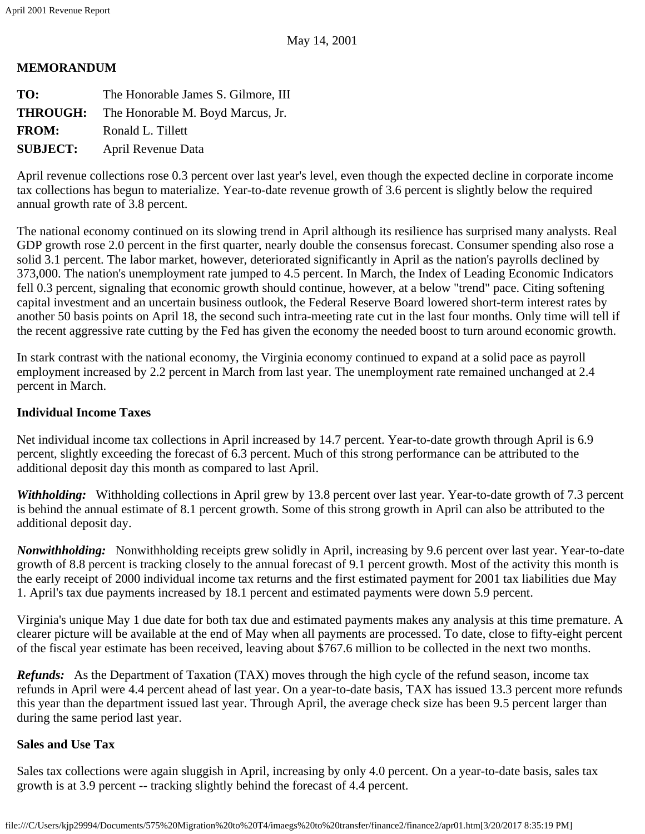### **MEMORANDUM**

| TO:             | The Honorable James S. Gilmore, III               |
|-----------------|---------------------------------------------------|
|                 | <b>THROUGH:</b> The Honorable M. Boyd Marcus, Jr. |
| <b>FROM:</b>    | Ronald L. Tillett                                 |
| <b>SUBJECT:</b> | April Revenue Data                                |
|                 |                                                   |

April revenue collections rose 0.3 percent over last year's level, even though the expected decline in corporate income tax collections has begun to materialize. Year-to-date revenue growth of 3.6 percent is slightly below the required annual growth rate of 3.8 percent.

The national economy continued on its slowing trend in April although its resilience has surprised many analysts. Real GDP growth rose 2.0 percent in the first quarter, nearly double the consensus forecast. Consumer spending also rose a solid 3.1 percent. The labor market, however, deteriorated significantly in April as the nation's payrolls declined by 373,000. The nation's unemployment rate jumped to 4.5 percent. In March, the Index of Leading Economic Indicators fell 0.3 percent, signaling that economic growth should continue, however, at a below "trend" pace. Citing softening capital investment and an uncertain business outlook, the Federal Reserve Board lowered short-term interest rates by another 50 basis points on April 18, the second such intra-meeting rate cut in the last four months. Only time will tell if the recent aggressive rate cutting by the Fed has given the economy the needed boost to turn around economic growth.

In stark contrast with the national economy, the Virginia economy continued to expand at a solid pace as payroll employment increased by 2.2 percent in March from last year. The unemployment rate remained unchanged at 2.4 percent in March.

# **Individual Income Taxes**

Net individual income tax collections in April increased by 14.7 percent. Year-to-date growth through April is 6.9 percent, slightly exceeding the forecast of 6.3 percent. Much of this strong performance can be attributed to the additional deposit day this month as compared to last April.

*Withholding:* Withholding collections in April grew by 13.8 percent over last year. Year-to-date growth of 7.3 percent is behind the annual estimate of 8.1 percent growth. Some of this strong growth in April can also be attributed to the additional deposit day.

*Nonwithholding:* Nonwithholding receipts grew solidly in April, increasing by 9.6 percent over last year. Year-to-date growth of 8.8 percent is tracking closely to the annual forecast of 9.1 percent growth. Most of the activity this month is the early receipt of 2000 individual income tax returns and the first estimated payment for 2001 tax liabilities due May 1. April's tax due payments increased by 18.1 percent and estimated payments were down 5.9 percent.

Virginia's unique May 1 due date for both tax due and estimated payments makes any analysis at this time premature. A clearer picture will be available at the end of May when all payments are processed. To date, close to fifty-eight percent of the fiscal year estimate has been received, leaving about \$767.6 million to be collected in the next two months.

*Refunds:* As the Department of Taxation (TAX) moves through the high cycle of the refund season, income tax refunds in April were 4.4 percent ahead of last year. On a year-to-date basis, TAX has issued 13.3 percent more refunds this year than the department issued last year. Through April, the average check size has been 9.5 percent larger than during the same period last year.

# **Sales and Use Tax**

Sales tax collections were again sluggish in April, increasing by only 4.0 percent. On a year-to-date basis, sales tax growth is at 3.9 percent -- tracking slightly behind the forecast of 4.4 percent.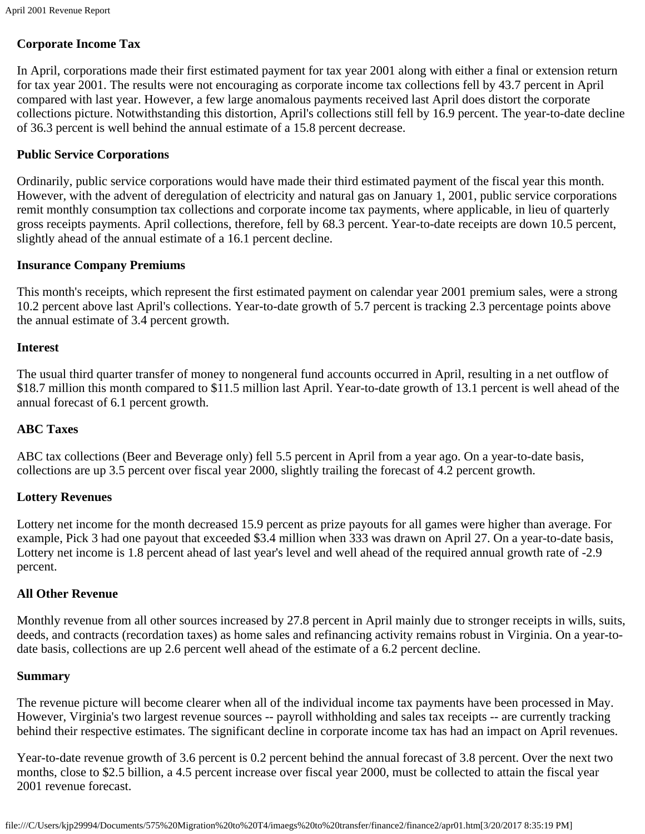## **Corporate Income Tax**

In April, corporations made their first estimated payment for tax year 2001 along with either a final or extension return for tax year 2001. The results were not encouraging as corporate income tax collections fell by 43.7 percent in April compared with last year. However, a few large anomalous payments received last April does distort the corporate collections picture. Notwithstanding this distortion, April's collections still fell by 16.9 percent. The year-to-date decline of 36.3 percent is well behind the annual estimate of a 15.8 percent decrease.

### **Public Service Corporations**

Ordinarily, public service corporations would have made their third estimated payment of the fiscal year this month. However, with the advent of deregulation of electricity and natural gas on January 1, 2001, public service corporations remit monthly consumption tax collections and corporate income tax payments, where applicable, in lieu of quarterly gross receipts payments. April collections, therefore, fell by 68.3 percent. Year-to-date receipts are down 10.5 percent, slightly ahead of the annual estimate of a 16.1 percent decline.

#### **Insurance Company Premiums**

This month's receipts, which represent the first estimated payment on calendar year 2001 premium sales, were a strong 10.2 percent above last April's collections. Year-to-date growth of 5.7 percent is tracking 2.3 percentage points above the annual estimate of 3.4 percent growth.

#### **Interest**

The usual third quarter transfer of money to nongeneral fund accounts occurred in April, resulting in a net outflow of \$18.7 million this month compared to \$11.5 million last April. Year-to-date growth of 13.1 percent is well ahead of the annual forecast of 6.1 percent growth.

## **ABC Taxes**

ABC tax collections (Beer and Beverage only) fell 5.5 percent in April from a year ago. On a year-to-date basis, collections are up 3.5 percent over fiscal year 2000, slightly trailing the forecast of 4.2 percent growth.

## **Lottery Revenues**

Lottery net income for the month decreased 15.9 percent as prize payouts for all games were higher than average. For example, Pick 3 had one payout that exceeded \$3.4 million when 333 was drawn on April 27. On a year-to-date basis, Lottery net income is 1.8 percent ahead of last year's level and well ahead of the required annual growth rate of -2.9 percent.

#### **All Other Revenue**

Monthly revenue from all other sources increased by 27.8 percent in April mainly due to stronger receipts in wills, suits, deeds, and contracts (recordation taxes) as home sales and refinancing activity remains robust in Virginia. On a year-todate basis, collections are up 2.6 percent well ahead of the estimate of a 6.2 percent decline.

#### **Summary**

The revenue picture will become clearer when all of the individual income tax payments have been processed in May. However, Virginia's two largest revenue sources -- payroll withholding and sales tax receipts -- are currently tracking behind their respective estimates. The significant decline in corporate income tax has had an impact on April revenues.

Year-to-date revenue growth of 3.6 percent is 0.2 percent behind the annual forecast of 3.8 percent. Over the next two months, close to \$2.5 billion, a 4.5 percent increase over fiscal year 2000, must be collected to attain the fiscal year 2001 revenue forecast.